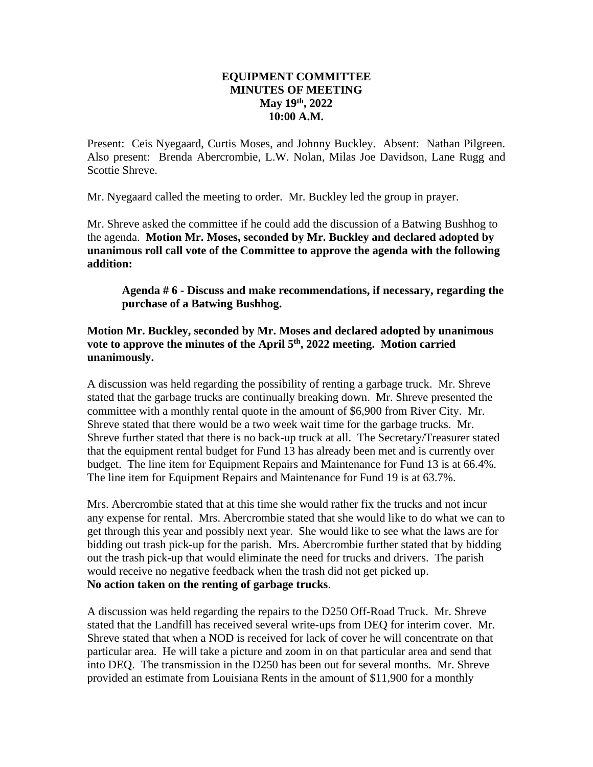## **EQUIPMENT COMMITTEE MINUTES OF MEETING May 19th, 2022 10:00 A.M.**

Present: Ceis Nyegaard, Curtis Moses, and Johnny Buckley. Absent: Nathan Pilgreen. Also present: Brenda Abercrombie, L.W. Nolan, Milas Joe Davidson, Lane Rugg and Scottie Shreve.

Mr. Nyegaard called the meeting to order. Mr. Buckley led the group in prayer.

Mr. Shreve asked the committee if he could add the discussion of a Batwing Bushhog to the agenda. **Motion Mr. Moses, seconded by Mr. Buckley and declared adopted by unanimous roll call vote of the Committee to approve the agenda with the following addition:**

**Agenda # 6 - Discuss and make recommendations, if necessary, regarding the purchase of a Batwing Bushhog.**

## **Motion Mr. Buckley, seconded by Mr. Moses and declared adopted by unanimous vote to approve the minutes of the April 5th, 2022 meeting. Motion carried unanimously.**

A discussion was held regarding the possibility of renting a garbage truck. Mr. Shreve stated that the garbage trucks are continually breaking down. Mr. Shreve presented the committee with a monthly rental quote in the amount of \$6,900 from River City. Mr. Shreve stated that there would be a two week wait time for the garbage trucks. Mr. Shreve further stated that there is no back-up truck at all. The Secretary/Treasurer stated that the equipment rental budget for Fund 13 has already been met and is currently over budget. The line item for Equipment Repairs and Maintenance for Fund 13 is at 66.4%. The line item for Equipment Repairs and Maintenance for Fund 19 is at 63.7%.

Mrs. Abercrombie stated that at this time she would rather fix the trucks and not incur any expense for rental. Mrs. Abercrombie stated that she would like to do what we can to get through this year and possibly next year. She would like to see what the laws are for bidding out trash pick-up for the parish. Mrs. Abercrombie further stated that by bidding out the trash pick-up that would eliminate the need for trucks and drivers. The parish would receive no negative feedback when the trash did not get picked up. **No action taken on the renting of garbage trucks**.

A discussion was held regarding the repairs to the D250 Off-Road Truck. Mr. Shreve stated that the Landfill has received several write-ups from DEQ for interim cover. Mr. Shreve stated that when a NOD is received for lack of cover he will concentrate on that particular area. He will take a picture and zoom in on that particular area and send that into DEQ. The transmission in the D250 has been out for several months. Mr. Shreve provided an estimate from Louisiana Rents in the amount of \$11,900 for a monthly